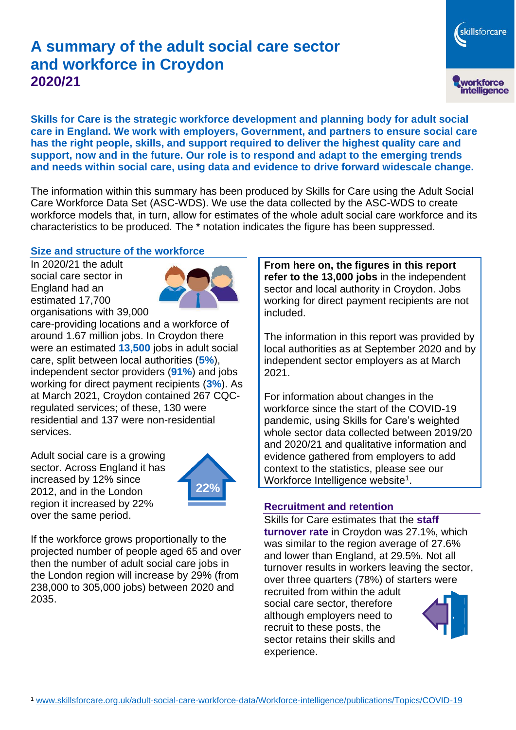# **A summary of the adult social care sector and workforce in Croydon 2020/21**

workforce<br>intelligence **Skills for Care is the strategic workforce development and planning body for adult social care in England. We work with employers, Government, and partners to ensure social care has the right people, skills, and support required to deliver the highest quality care and support, now and in the future. Our role is to respond and adapt to the emerging trends and needs within social care, using data and evidence to drive forward widescale change.**

The information within this summary has been produced by Skills for Care using the Adult Social Care Workforce Data Set (ASC-WDS). We use the data collected by the ASC-WDS to create workforce models that, in turn, allow for estimates of the whole adult social care workforce and its characteristics to be produced. The \* notation indicates the figure has been suppressed.

#### **Size and structure of the workforce**

In 2020/21 the adult social care sector in England had an estimated 17,700 organisations with 39,000



care-providing locations and a workforce of around 1.67 million jobs. In Croydon there were an estimated **13,500** jobs in adult social care, split between local authorities (**5%**), independent sector providers (**91%**) and jobs working for direct payment recipients (**3%**). As at March 2021, Croydon contained 267 CQCregulated services; of these, 130 were residential and 137 were non-residential services.

Adult social care is a growing sector. Across England it has increased by 12% since 2012, and in the London region it increased by 22% over the same period.



If the workforce grows proportionally to the projected number of people aged 65 and over then the number of adult social care jobs in the London region will increase by 29% (from 238,000 to 305,000 jobs) between 2020 and 2035.

**From here on, the figures in this report refer to the 13,000 jobs** in the independent sector and local authority in Croydon. Jobs working for direct payment recipients are not included.

The information in this report was provided by local authorities as at September 2020 and by independent sector employers as at March 2021.

For information about changes in the workforce since the start of the COVID-19 pandemic, using Skills for Care's weighted whole sector data collected between 2019/20 and 2020/21 and qualitative information and evidence gathered from employers to add context to the statistics, please see our Workforce Intelligence website<sup>1</sup>.

#### **Recruitment and retention**

Skills for Care estimates that the **staff turnover rate** in Croydon was 27.1%, which was similar to the region average of 27.6% and lower than England, at 29.5%. Not all turnover results in workers leaving the sector, over three quarters (78%) of starters were

recruited from within the adult social care sector, therefore although employers need to recruit to these posts, the sector retains their skills and experience.



skillsforcare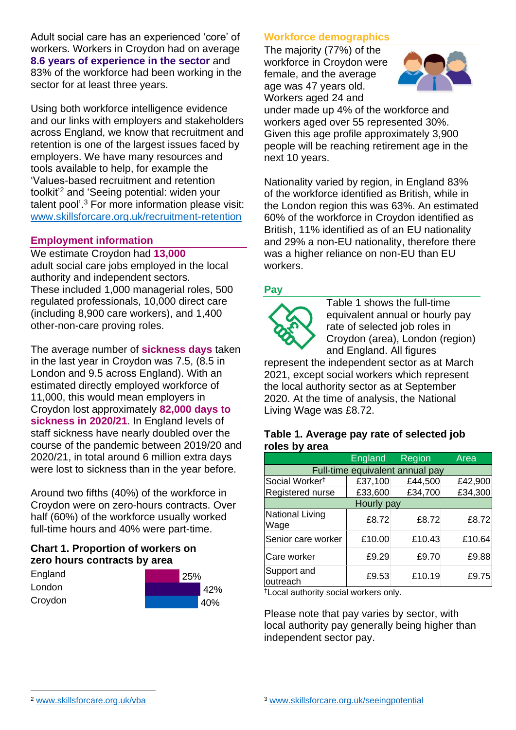Adult social care has an experienced 'core' of workers. Workers in Croydon had on average **8.6 years of experience in the sector** and 83% of the workforce had been working in the sector for at least three years.

Using both workforce intelligence evidence and our links with employers and stakeholders across England, we know that recruitment and retention is one of the largest issues faced by employers. We have many resources and tools available to help, for example the 'Values-based recruitment and retention toolkit'<sup>2</sup> and 'Seeing potential: widen your talent pool'. <sup>3</sup> For more information please visit: [www.skillsforcare.org.uk/recruitment-retention](http://www.skillsforcare.org.uk/recruitment-retention)

#### **Employment information**

We estimate Croydon had **13,000** adult social care jobs employed in the local authority and independent sectors. These included 1,000 managerial roles, 500 regulated professionals, 10,000 direct care (including 8,900 care workers), and 1,400 other-non-care proving roles.

The average number of **sickness days** taken in the last year in Croydon was 7.5, (8.5 in London and 9.5 across England). With an estimated directly employed workforce of 11,000, this would mean employers in Croydon lost approximately **82,000 days to sickness in 2020/21**. In England levels of staff sickness have nearly doubled over the course of the pandemic between 2019/20 and 2020/21, in total around 6 million extra days were lost to sickness than in the year before.

Around two fifths (40%) of the workforce in Croydon were on zero-hours contracts. Over half (60%) of the workforce usually worked full-time hours and 40% were part-time.

### **Chart 1. Proportion of workers on zero hours contracts by area**

| England | 25% |     |
|---------|-----|-----|
| London  |     | 42% |
| Croydon |     | 40% |

### **Workforce demographics**

The majority (77%) of the workforce in Croydon were female, and the average age was 47 years old. Workers aged 24 and



under made up 4% of the workforce and workers aged over 55 represented 30%. Given this age profile approximately 3,900 people will be reaching retirement age in the next 10 years.

Nationality varied by region, in England 83% of the workforce identified as British, while in the London region this was 63%. An estimated 60% of the workforce in Croydon identified as British, 11% identified as of an EU nationality and 29% a non-EU nationality, therefore there was a higher reliance on non-EU than EU workers.

### **Pay**



Table 1 shows the full-time equivalent annual or hourly pay rate of selected job roles in Croydon (area), London (region) and England. All figures

represent the independent sector as at March 2021, except social workers which represent the local authority sector as at September 2020. At the time of analysis, the National Living Wage was £8.72.

#### **Table 1. Average pay rate of selected job roles by area**

|                                 | <b>England</b> | Region  | Area    |  |  |
|---------------------------------|----------------|---------|---------|--|--|
| Full-time equivalent annual pay |                |         |         |  |  |
| Social Worker <sup>t</sup>      | £37,100        | £44,500 | £42,900 |  |  |
| Registered nurse                | £33,600        | £34,700 | £34,300 |  |  |
| Hourly pay                      |                |         |         |  |  |
| National Living<br>Wage         | £8.72          | £8.72   | £8.72   |  |  |
| Senior care worker              | £10.00         | £10.43  | £10.64  |  |  |
| Care worker                     | £9.29          | £9.70   | £9.88   |  |  |
| Support and<br>outreach         | £9.53          | £10.19  | £9.75   |  |  |

†Local authority social workers only.

Please note that pay varies by sector, with local authority pay generally being higher than independent sector pay.